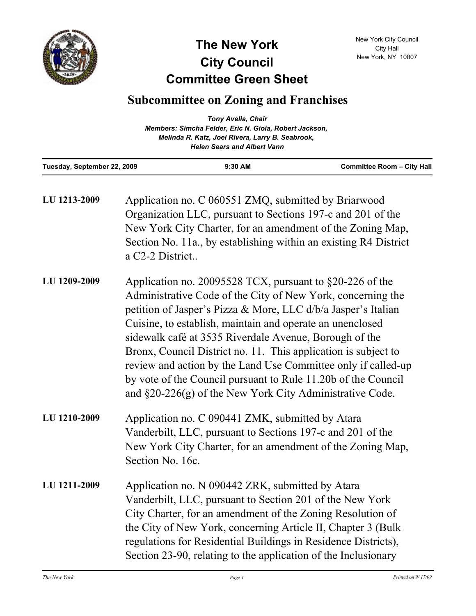

## **Committee Green Sheet The New York City Council**

## **Subcommittee on Zoning and Franchises**

| Tuesday, September 22, 2009 | $9:30$ AM                                                                              | <b>Committee Room - City Hall</b> |
|-----------------------------|----------------------------------------------------------------------------------------|-----------------------------------|
|                             | Melinda R. Katz, Joel Rivera, Larry B. Seabrook,<br><b>Helen Sears and Albert Vann</b> |                                   |
|                             |                                                                                        |                                   |
|                             | Members: Simcha Felder, Eric N. Gioia, Robert Jackson,                                 |                                   |
|                             | <b>Tony Avella, Chair</b>                                                              |                                   |

| LU 1213-2009 | Application no. C 060551 ZMQ, submitted by Briarwood<br>Organization LLC, pursuant to Sections 197-c and 201 of the<br>New York City Charter, for an amendment of the Zoning Map,<br>Section No. 11a., by establishing within an existing R4 District<br>a C2-2 District                                                                                                                                                                                                                                                                                                              |
|--------------|---------------------------------------------------------------------------------------------------------------------------------------------------------------------------------------------------------------------------------------------------------------------------------------------------------------------------------------------------------------------------------------------------------------------------------------------------------------------------------------------------------------------------------------------------------------------------------------|
| LU 1209-2009 | Application no. 20095528 TCX, pursuant to $\S20-226$ of the<br>Administrative Code of the City of New York, concerning the<br>petition of Jasper's Pizza & More, LLC d/b/a Jasper's Italian<br>Cuisine, to establish, maintain and operate an unenclosed<br>sidewalk café at 3535 Riverdale Avenue, Borough of the<br>Bronx, Council District no. 11. This application is subject to<br>review and action by the Land Use Committee only if called-up<br>by vote of the Council pursuant to Rule 11.20b of the Council<br>and $\S20-226(g)$ of the New York City Administrative Code. |
| LU 1210-2009 | Application no. C 090441 ZMK, submitted by Atara<br>Vanderbilt, LLC, pursuant to Sections 197-c and 201 of the<br>New York City Charter, for an amendment of the Zoning Map,<br>Section No. 16c.                                                                                                                                                                                                                                                                                                                                                                                      |
| LU 1211-2009 | Application no. N 090442 ZRK, submitted by Atara<br>Vanderbilt, LLC, pursuant to Section 201 of the New York<br>City Charter, for an amendment of the Zoning Resolution of<br>the City of New York, concerning Article II, Chapter 3 (Bulk)<br>regulations for Residential Buildings in Residence Districts),<br>Section 23-90, relating to the application of the Inclusionary                                                                                                                                                                                                       |

New York City Council City Hall New York, NY 10007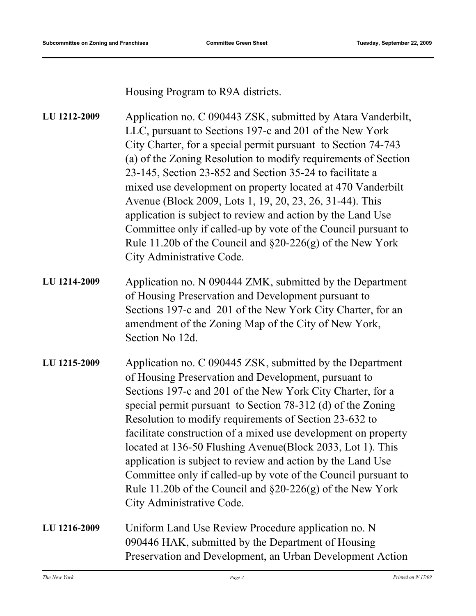Housing Program to R9A districts.

| LU 1212-2009 | Application no. C 090443 ZSK, submitted by Atara Vanderbilt,<br>LLC, pursuant to Sections 197-c and 201 of the New York<br>City Charter, for a special permit pursuant to Section 74-743<br>(a) of the Zoning Resolution to modify requirements of Section<br>23-145, Section 23-852 and Section 35-24 to facilitate a<br>mixed use development on property located at 470 Vanderbilt<br>Avenue (Block 2009, Lots 1, 19, 20, 23, 26, 31-44). This<br>application is subject to review and action by the Land Use<br>Committee only if called-up by vote of the Council pursuant to<br>Rule 11.20b of the Council and $\S20-226(g)$ of the New York<br>City Administrative Code. |
|--------------|---------------------------------------------------------------------------------------------------------------------------------------------------------------------------------------------------------------------------------------------------------------------------------------------------------------------------------------------------------------------------------------------------------------------------------------------------------------------------------------------------------------------------------------------------------------------------------------------------------------------------------------------------------------------------------|
| LU 1214-2009 | Application no. N 090444 ZMK, submitted by the Department<br>of Housing Preservation and Development pursuant to<br>Sections 197-c and 201 of the New York City Charter, for an<br>amendment of the Zoning Map of the City of New York,<br>Section No 12d.                                                                                                                                                                                                                                                                                                                                                                                                                      |
| LU 1215-2009 | Application no. C 090445 ZSK, submitted by the Department<br>of Housing Preservation and Development, pursuant to<br>Sections 197-c and 201 of the New York City Charter, for a<br>special permit pursuant to Section 78-312 (d) of the Zoning<br>Resolution to modify requirements of Section 23-632 to<br>facilitate construction of a mixed use development on property<br>located at 136-50 Flushing Avenue (Block 2033, Lot 1). This<br>application is subject to review and action by the Land Use<br>Committee only if called-up by vote of the Council pursuant to<br>Rule 11.20b of the Council and $\S20-226(g)$ of the New York<br>City Administrative Code.         |
| LU 1216-2009 | Uniform Land Use Review Procedure application no. N<br>090446 HAK, submitted by the Department of Housing<br>Preservation and Development, an Urban Development Action                                                                                                                                                                                                                                                                                                                                                                                                                                                                                                          |